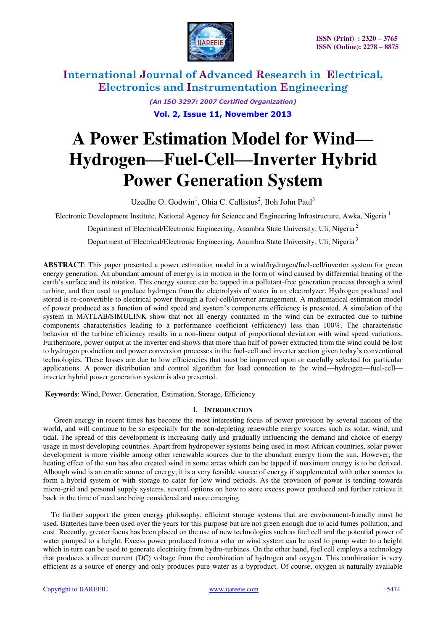

*(An ISO 3297: 2007 Certified Organization)* 

**Vol. 2, Issue 11, November 2013**

# **A Power Estimation Model for Wind— Hydrogen—Fuel-Cell—Inverter Hybrid Power Generation System**

Uzedhe O. Godwin<sup>1</sup>, Ohia C. Callistus<sup>2</sup>, Iloh John Paul<sup>3</sup>

Electronic Development Institute, National Agency for Science and Engineering Infrastructure, Awka, Nigeria<sup>1</sup>

Department of Electrical/Electronic Engineering, Anambra State University, Uli, Nigeria<sup>2</sup>

Department of Electrical/Electronic Engineering, Anambra State University, Uli, Nigeria<sup>3</sup>

**ABSTRACT**: This paper presented a power estimation model in a wind/hydrogen/fuel-cell/inverter system for green energy generation. An abundant amount of energy is in motion in the form of wind caused by differential heating of the earth's surface and its rotation. This energy source can be tapped in a pollutant-free generation process through a wind turbine, and then used to produce hydrogen from the electrolysis of water in an electrolyzer. Hydrogen produced and stored is re-convertible to electrical power through a fuel-cell/inverter arrangement. A mathematical estimation model of power produced as a function of wind speed and system's components efficiency is presented. A simulation of the system in MATLAB/SIMULINK show that not all energy contained in the wind can be extracted due to turbine components characteristics leading to a performance coefficient (efficiency) less than 100%. The characteristic behavior of the turbine efficiency results in a non-linear output of proportional deviation with wind speed variations. Furthermore, power output at the inverter end shows that more than half of power extracted from the wind could be lost to hydrogen production and power conversion processes in the fuel-cell and inverter section given today's conventional technologies. These losses are due to low efficiencies that must be improved upon or carefully selected for particular applications. A power distribution and control algorithm for load connection to the wind—hydrogen—fuel-cell inverter hybrid power generation system is also presented.

 **Keywords**: Wind, Power, Generation, Estimation, Storage, Efficiency

### I. **INTRODUCTION**

Green energy in recent times has become the most interesting focus of power provision by several nations of the world, and will continue to be so especially for the non-depleting renewable energy sources such as solar, wind, and tidal. The spread of this development is increasing daily and gradually influencing the demand and choice of energy usage in most developing countries. Apart from hydropower systems being used in most African countries, solar power development is more visible among other renewable sources due to the abundant energy from the sun. However, the heating effect of the sun has also created wind in some areas which can be tapped if maximum energy is to be derived. Alhough wind is an erratic source of energy; it is a very feasible source of energy if supplemented with other sources to form a hybrid system or with storage to cater for low wind periods. As the provision of power is tending towards micro-grid and personal supply systems, several options on how to store excess power produced and further retrieve it back in the time of need are being considered and more emerging.

To further support the green energy philosophy, efficient storage systems that are environment-friendly must be used. Batteries have been used over the years for this purpose but are not green enough due to acid fumes pollution, and cost. Recently, greater focus has been placed on the use of new technologies such as fuel cell and the potential power of water pumped to a height. Excess power produced from a solar or wind system can be used to pump water to a height which in turn can be used to generate electricity from hydro-turbines. On the other hand, fuel cell employs a technology that produces a direct current (DC) voltage from the combination of hydrogen and oxygen. This combination is very efficient as a source of energy and only produces pure water as a byproduct. Of course, oxygen is naturally available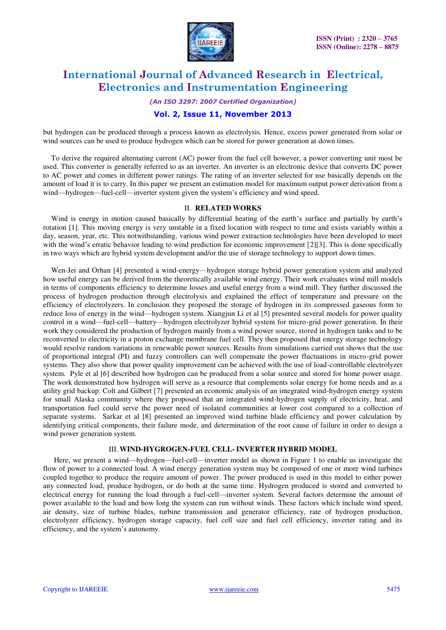

*(An ISO 3297: 2007 Certified Organization)* 

### **Vol. 2, Issue 11, November 2013**

but hydrogen can be produced through a process known as electrolysis. Hence, excess power generated from solar or wind sources can be used to produce hydrogen which can be stored for power generation at down times.

To derive the required alternating current (AC) power from the fuel cell however, a power converting unit most be used. This converter is generally referred to as an inverter. An inverter is an electronic device that converts DC power to AC power and comes in different power ratings. The rating of an inverter selected for use basically depends on the amount of load it is to carry. In this paper we present an estimation model for maximum output power derivation from a wind—hydrogen—fuel-cell—inverter system given the system's efficiency and wind speed.

#### II. **RELATED WORKS**

Wind is energy in motion caused basically by differential heating of the earth's surface and partially by earth's rotation [1]. This moving energy is very unstable in a fixed location with respect to time and exists variably within a day, season, year, etc. This notwithstanding, various wind power extraction technologies have been developed to meet with the wind's erratic behavior leading to wind prediction for economic improvement [2][3]. This is done specifically in two ways which are hybrid system development and/or the use of storage technology to support down times.

Wen-Jei and Orhan [4] presented a wind-energy—hydrogen storage hybrid power generation system and analyzed how useful energy can be derived from the theoretically available wind energy. Their work evaluates wind mill models in terms of components efficiency to determine losses and useful energy from a wind mill. They further discussed the process of hydrogen production through electrolysis and explained the effect of temperature and pressure on the efficiency of electrolyzers. In conclusion they proposed the storage of hydrogen in its compressed gaseous form to reduce loss of energy in the wind—hydrogen system. Xiangjun Li et al [5] presented several models for power quality control in a wind—fuel-cell—battery—hydrogen electrolyzer hybrid system for micro-grid power generation. In their work they considered the production of hydrogen mainly from a wind power source, stored in hydrogen tanks and to be reconverted to electricity in a proton exchange membrane fuel cell. They then proposed that energy storage technology would resolve random variations in renewable power sources. Results from simulations carried out shows that the use of proportional integral (PI) and fuzzy controllers can well compensate the power fluctuations in micro-grid power systems. They also show that power quality improvement can be achieved with the use of load-controllable electrolyzer system. Pyle et al [6] described how hydrogen can be produced from a solar source and stored for home power usage. The work demonstrated how hydrogen will serve as a resource that complements solar energy for home needs and as a utility grid backup. Colt and Gilbert [7] presented an economic analysis of an integrated wind-hydrogen energy system for small Alaska community where they proposed that an integrated wind-hydrogen supply of electricity, heat, and transportation fuel could serve the power need of isolated communities at lower cost compared to a collection of separate systems. Sarkar et al [8] presented an improved wind turbine blade efficiency and power calculation by identifying critical components, their failure mode, and determination of the root cause of failure in order to design a wind power generation system.

#### III. **WIND-HYGROGEN-FUEL CELL- INVERTER HYBRID MODEL**

Here, we present a wind—hydrogen—fuel-cell—inverter model as shown in Figure 1 to enable us investigate the flow of power to a connected load. A wind energy generation system may be composed of one or more wind turbines coupled together to produce the require amount of power. The power produced is used in this model to either power any connected load, produce hydrogen, or do both at the same time. Hydrogen produced is stored and converted to electrical energy for running the load through a fuel-cell—inverter system. Several factors determine the amount of power available to the load and how long the system can run without winds. These factors which include wind speed, air density, size of turbine blades, turbine transmission and generator efficiency, rate of hydrogen production, electrolyzer efficiency, hydrogen storage capacity, fuel cell size and fuel cell efficiency, inverter rating and its efficiency, and the system's autonomy.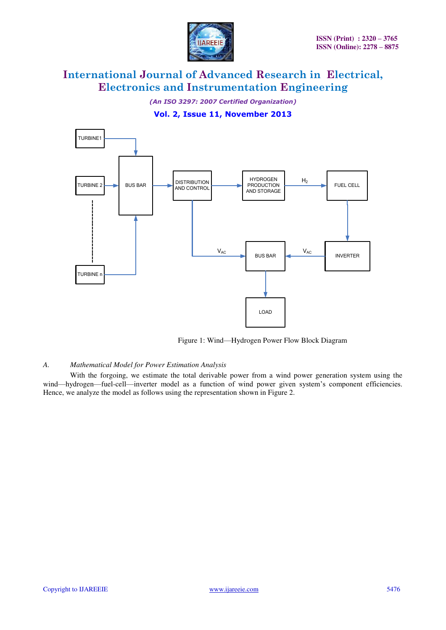

*(An ISO 3297: 2007 Certified Organization)* 

## **Vol. 2, Issue 11, November 2013**



Figure 1: Wind—Hydrogen Power Flow Block Diagram

#### *A. Mathematical Model for Power Estimation Analysis*

With the forgoing, we estimate the total derivable power from a wind power generation system using the wind—hydrogen—fuel-cell—inverter model as a function of wind power given system's component efficiencies. Hence, we analyze the model as follows using the representation shown in Figure 2.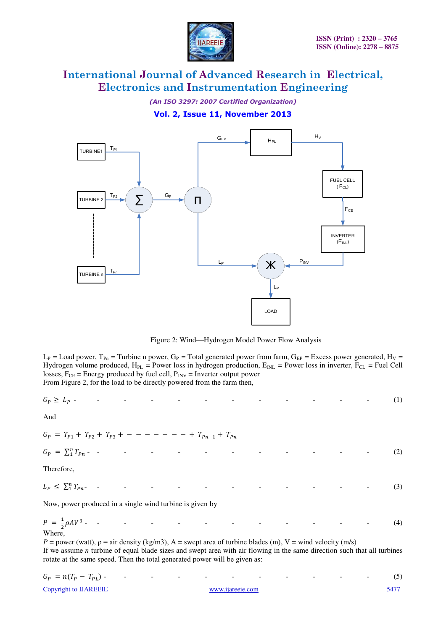

*(An ISO 3297: 2007 Certified Organization)* 

**Vol. 2, Issue 11, November 2013**



Figure 2: Wind—Hydrogen Model Power Flow Analysis

 $L_P$  = Load power, T<sub>Pn</sub> = Turbine n power, G<sub>P</sub> = Total generated power from farm, G<sub>EP</sub> = Excess power generated, H<sub>V</sub> = Hydrogen volume produced,  $H_{PL}$  = Power loss in hydrogen production,  $E_{INL}$  = Power loss in inverter,  $F_{CL}$  = Fuel Cell losses,  $F_{CE}$  = Energy produced by fuel cell,  $P_{INV}$  = Inverter output power From Figure 2, for the load to be directly powered from the farm then,

$$
G_P \ge L_P \tag{1}
$$

And

$$
G_P = T_{P1} + T_{P2} + T_{P3} + \cdots - \cdots - \cdots + T_{Pn-1} + T_{Pn}
$$

 $G_P = \sum_1^n T_p$ - - - - - - - - - - - - (2)

Therefore,

$$
L_P \le \sum_{i=1}^{n} T_{Pn} \tag{3}
$$

Now, power produced in a single wind turbine is given by

$$
P = \frac{1}{2}\rho A V^3
$$
 - - - - - - - - - - - - - - - - - - (4)  
Where,

*P* = power (watt),  $\rho$  = air density (kg/m3), A = swept area of turbine blades (m), V = wind velocity (m/s) If we assume *n* turbine of equal blade sizes and swept area with air flowing in the same direction such that all turbines rotate at the same speed. Then the total generated power will be given as:

$$
G_P = n(T_P - T_{PL})
$$
 (5)  
Copyright to IJAREEIE  
<sub>5477</sub>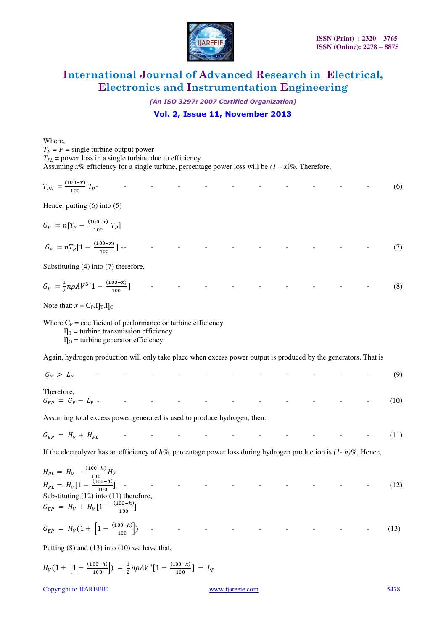

*(An ISO 3297: 2007 Certified Organization)* 

## **Vol. 2, Issue 11, November 2013**

Where,

 $T_P = P$  = single turbine output power  $T_{PL}$  = power loss in a single turbine due to efficiency Assuming  $x\%$  efficiency for a single turbine, percentage power loss will be  $(1 - x)\%$ . Therefore,

$$
T_{PL} = \frac{(100-x)}{100} T_P
$$
 (6)

Hence, putting (6) into (5)

$$
G_P = n[T_P - \frac{(100-x)}{100} T_P]
$$
  
\n
$$
G_P = nT_P[1 - \frac{(100-x)}{100}] - \qquad \qquad - \qquad - \qquad - \qquad - \qquad - \qquad - \qquad - \qquad (7)
$$

Substituting (4) into (7) therefore,

$$
G_P = \frac{1}{2} n\rho A V^3 [1 - \frac{(100 - x)}{100}] \tag{8}
$$

Note that:  $x = C_P \cdot \Pi_T \cdot \Pi_G$ 

Where  $C_P$  = coefficient of performance or turbine efficiency

 $T_T$  = turbine transmission efficiency

 $\Pi_G$  = turbine generator efficiency

Again, hydrogen production will only take place when excess power output is produced by the generators. That is

| $G_P > L_P$ - - - - - - - - - - - - - - (9)       |  |  |  |  |  |  |
|---------------------------------------------------|--|--|--|--|--|--|
| Therefore,                                        |  |  |  |  |  |  |
| $G_{FP} = G_P - L_P$ - - - - - - - - - - - - (10) |  |  |  |  |  |  |

Assuming total excess power generated is used to produce hydrogen, then:

$$
G_{EP} = H_V + H_{PL}
$$
 (11)

If the electrolyzer has an efficiency of  $h\%$ , percentage power loss during hydrogen production is  $(1-h)\%$ . Hence,

 - - - - - - - - - - (12) Substituting (12) into (11) therefore, 

$$
G_{EP} = H_V(1 + \left[1 - \frac{(100 - h)}{100}\right]) \tag{13}
$$

Putting (8) and (13) into (10) we have that,

$$
H_V(1+\left[1-\frac{(100-h)}{100}\right]) = \frac{1}{2}n\rho A V^3[1-\frac{(100-x)}{100}] - L_P
$$

Copyright to IJAREEIE [www.ijareeie.com](http://www.ijareeie.com/) 5478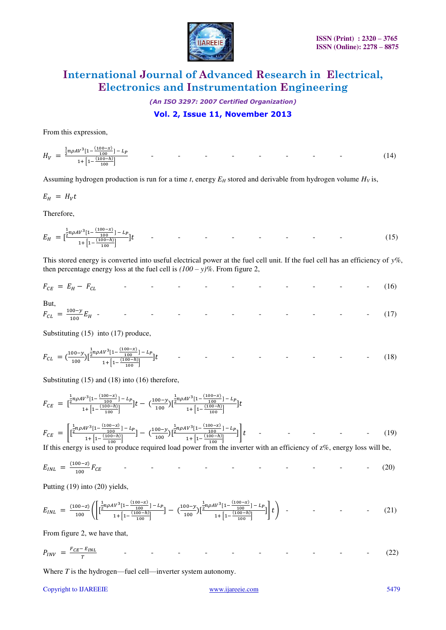

*(An ISO 3297: 2007 Certified Organization)* 

### **Vol. 2, Issue 11, November 2013**

From this expression,

$$
H_V = \frac{\frac{1}{2}n\rho AV^3[1 - \frac{(100 - x)}{100}] - L_P}{1 + [1 - \frac{(100 - h)}{100}]} \tag{14}
$$

Assuming hydrogen production is run for a time  $t$ , energy  $E_H$  stored and derivable from hydrogen volume  $H_V$  is,

 $E_H = H_V t$ 

Therefore,

$$
E_H = \left[\frac{\frac{1}{2}n\rho A V^3 [1 - \frac{(100 - X)}{100}] - L_P}{1 + \left[1 - \frac{(100 - X)}{100}\right]} \right] t \tag{15}
$$

This stored energy is converted into useful electrical power at the fuel cell unit. If the fuel cell has an efficiency of *y%*, then percentage energy loss at the fuel cell is  $(100 - y)\%$ . From figure 2,

$$
F_{CE} = E_H - F_{CL} \tag{16}
$$

But,  

$$
F_{CL} = \frac{100 - y}{100} E_H
$$
 (17)

Substituting (15) into (17) produce,

$$
F_{CL} = \left(\frac{100 - y}{100}\right) \left[\frac{\frac{1}{2}n\rho A V^3 [1 - \frac{(100 - x)}{100}] - L_P}{1 + \left[1 - \frac{(100 - h)}{100}\right]} \right] t \tag{18}
$$

Substituting (15) and (18) into (16) therefore,

$$
F_{CE} = \left[\frac{\frac{1}{2}n\rho AV^3[1 - \frac{(100 - x)}{100}] - L_P}{1 + [1 - \frac{(100 - h)}{100}]} \right]t - \left(\frac{100 - y}{100}\right) \left[\frac{\frac{1}{2}n\rho AV^3[1 - \frac{(100 - x)}{100}] - L_P}{1 + [1 - \frac{(100 - h)}{100}]} \right]t
$$
  
\n
$$
F_{CE} = \left[\frac{\frac{1}{2}n\rho AV^3[1 - \frac{(100 - x)}{100}] - L_P}{1 + [1 - \frac{(100 - h)}{100}]} - \left(\frac{100 - y}{100}\right) \left[\frac{\frac{1}{2}n\rho AV^3[1 - \frac{(100 - x)}{100}] - L_P}{1 + [1 - \frac{(100 - h)}{100}]} \right]t - \cdots \tag{19}
$$

If this energy is used to produce required load power from the inverter with an efficiency of z%, energy loss will be,

$$
E_{INL} = \frac{(100-z)}{100} F_{CE}
$$
 (20)

Putting (19) into (20) yields,

$$
E_{INL} = \frac{(100-z)}{100} \left( \left[ \frac{\frac{1}{2} n \rho A V^3 [1 - \frac{(100-x)}{100}] - L_P}{1 + \left[ 1 - \frac{(100-h)}{100} \right]} \right] - \left( \frac{100-y}{100} \right) \left[ \frac{\frac{1}{2} n \rho A V^3 [1 - \frac{(100-x)}{100}] - L_P}{1 + \left[ 1 - \frac{(100-h)}{100} \right]} \right] t \right) \tag{21}
$$

From figure 2, we have that,

$$
P_{INV} = \frac{F_{CE} - E_{INL}}{T}
$$
 - - - - - - - - - - - - - (22)

Where *T* is the hydrogen—fuel cell—inverter system autonomy.

#### Copyright to IJAREEIE [www.ijareeie.com](http://www.ijareeie.com/) 5479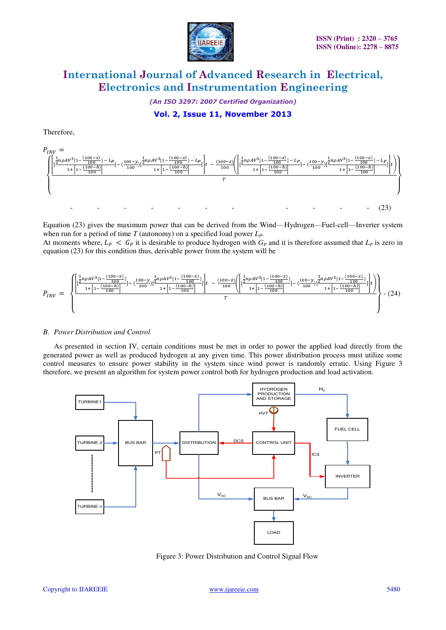

*(An ISO 3297: 2007 Certified Organization)* 

## **Vol. 2, Issue 11, November 2013**

Therefore,



Equation (23) gives the maximum power that can be derived from the Wind—Hydrogen—Fuel-cell—Inverter system when run for a period of time *T* (autonomy) on a specified load power *LP*.

At moments where,  $L_p < G_p$  it is desirable to produce hydrogen with  $G_p$  and it is therefore assumed that  $L_p$  is zero in equation (23) for this condition thus, derivable power from the system will be



#### *B. Power Distribution and Control*

As presented in section IV, certain conditions must be met in order to power the applied load directly from the generated power as well as produced hydrogen at any given time. This power distribution process must utilize some control measures to ensure power stability in the system since wind power is randomly erratic. Using Figure 3 therefore, we present an algorithm for system power control both for hydrogen production and load activation.



Figure 3: Power Distribution and Control Signal Flow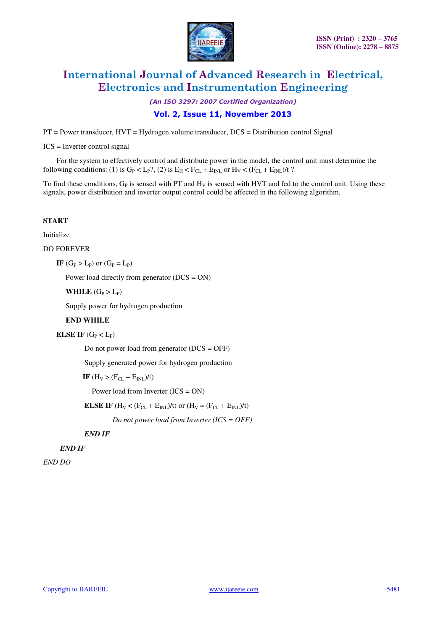

*(An ISO 3297: 2007 Certified Organization)* 

### **Vol. 2, Issue 11, November 2013**

PT = Power transducer, HVT = Hydrogen volume transducer, DCS = Distribution control Signal

ICS = Inverter control signal

For the system to effectively control and distribute power in the model, the control unit must determine the following conditions: (1) is  $G_P < L_P$ ?, (2) is  $E_H < F_{CL} + E_{INI}$  or  $H_V < (F_{CL} + E_{INI})/t$ ?

To find these conditions,  $G_P$  is sensed with PT and  $H_V$  is sensed with HVT and fed to the control unit. Using these signals, power distribution and inverter output control could be affected in the following algorithm.

#### **START**

Initialize

DO FOREVER

 $IF(G_P > L_P)$  or  $(G_P = L_P)$ 

Power load directly from generator (DCS = ON)

**WHILE**  $(G_P > L_P)$ 

Supply power for hydrogen production

### **END WHILE**

**ELSE IF**  $(G_P < L_P)$ 

Do not power load from generator  $(DCS = OFF)$ 

Supply generated power for hydrogen production

**IF**  $(H_V > (F_{CL} + E_{INL})/t)$ 

Power load from Inverter (ICS = ON)

**ELSE IF** ( $H_V < (F_{CL} + E_{INL})/t$ ) or ( $H_V = (F_{CL} + E_{INL})/t$ )

 *Do not power load from Inverter (ICS = OFF)* 

 *END IF* 

 *END IF* 

*END DO*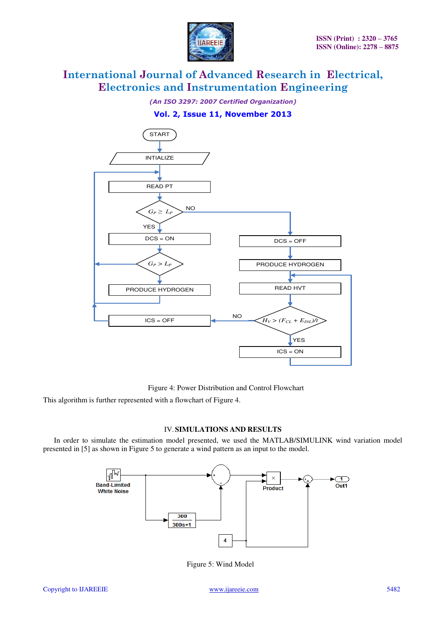

*(An ISO 3297: 2007 Certified Organization)* 

## **Vol. 2, Issue 11, November 2013**



Figure 4: Power Distribution and Control Flowchart

This algorithm is further represented with a flowchart of Figure 4.

### IV.**SIMULATIONS AND RESULTS**

In order to simulate the estimation model presented, we used the MATLAB/SIMULINK wind variation model presented in [5] as shown in Figure 5 to generate a wind pattern as an input to the model.



Figure 5: Wind Model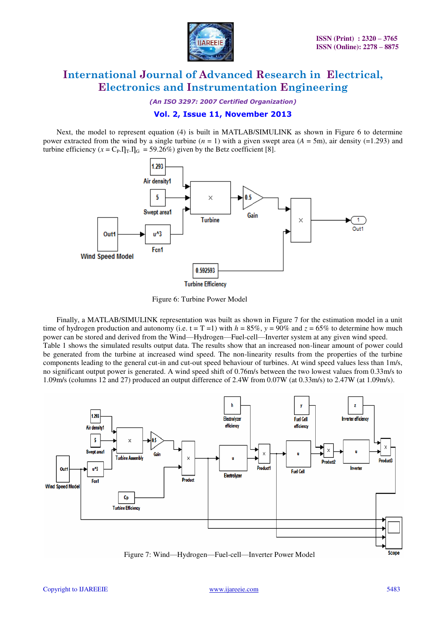

*(An ISO 3297: 2007 Certified Organization)* 

### **Vol. 2, Issue 11, November 2013**

Next, the model to represent equation (4) is built in MATLAB/SIMULINK as shown in Figure 6 to determine power extracted from the wind by a single turbine (*n* = 1) with a given swept area (*A* = 5m), air density (=1.293) and turbine efficiency  $(x = C_P \cdot \Pi_T \cdot \Pi_G = 59.26\%)$  given by the Betz coefficient [8].



Figure 6: Turbine Power Model

Finally, a MATLAB/SIMULINK representation was built as shown in Figure 7 for the estimation model in a unit time of hydrogen production and autonomy (i.e.  $t = T = 1$ ) with  $h = 85\%$ ,  $y = 90\%$  and  $z = 65\%$  to determine how much power can be stored and derived from the Wind—Hydrogen—Fuel-cell—Inverter system at any given wind speed. Table 1 shows the simulated results output data. The results show that an increased non-linear amount of power could be generated from the turbine at increased wind speed. The non-linearity results from the properties of the turbine components leading to the general cut-in and cut-out speed behaviour of turbines. At wind speed values less than  $1 \text{ m/s}$ , no significant output power is generated. A wind speed shift of 0.76m/s between the two lowest values from 0.33m/s to 1.09m/s (columns 12 and 27) produced an output difference of 2.4W from 0.07W (at 0.33m/s) to 2.47W (at 1.09m/s).

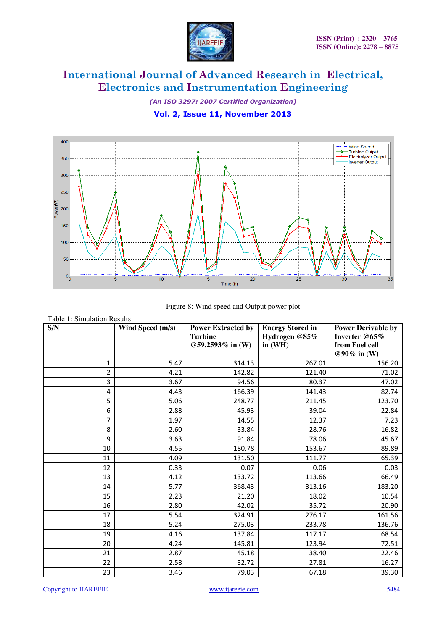

*(An ISO 3297: 2007 Certified Organization)* 

**Vol. 2, Issue 11, November 2013**





| S/N            | Wind Speed (m/s) | <b>Power Extracted by</b><br><b>Turbine</b><br>@59.2593% in (W) | <b>Energy Stored in</b><br>Hydrogen @85%<br>in $(WH)$ | <b>Power Derivable by</b><br>Inverter @65%<br>from Fuel cell |
|----------------|------------------|-----------------------------------------------------------------|-------------------------------------------------------|--------------------------------------------------------------|
|                |                  |                                                                 |                                                       | @90% in (W)                                                  |
| 1              | 5.47             | 314.13                                                          | 267.01                                                | 156.20                                                       |
| $\overline{2}$ | 4.21             | 142.82                                                          | 121.40                                                | 71.02                                                        |
| 3              | 3.67             | 94.56                                                           | 80.37                                                 | 47.02                                                        |
| 4              | 4.43             | 166.39                                                          | 141.43                                                | 82.74                                                        |
| 5              | 5.06             | 248.77                                                          | 211.45                                                | 123.70                                                       |
| 6              | 2.88             | 45.93                                                           | 39.04                                                 | 22.84                                                        |
| 7              | 1.97             | 14.55                                                           | 12.37                                                 | 7.23                                                         |
| 8              | 2.60             | 33.84                                                           | 28.76                                                 | 16.82                                                        |
| 9              | 3.63             | 91.84                                                           | 78.06                                                 | 45.67                                                        |
| 10             | 4.55             | 180.78                                                          | 153.67                                                | 89.89                                                        |
| 11             | 4.09             | 131.50                                                          | 111.77                                                | 65.39                                                        |
| 12             | 0.33             | 0.07                                                            | 0.06                                                  | 0.03                                                         |
| 13             | 4.12             | 133.72                                                          | 113.66                                                | 66.49                                                        |
| 14             | 5.77             | 368.43                                                          | 313.16                                                | 183.20                                                       |
| 15             | 2.23             | 21.20                                                           | 18.02                                                 | 10.54                                                        |
| 16             | 2.80             | 42.02                                                           | 35.72                                                 | 20.90                                                        |
| 17             | 5.54             | 324.91                                                          | 276.17                                                | 161.56                                                       |
| 18             | 5.24             | 275.03                                                          | 233.78                                                | 136.76                                                       |
| 19             | 4.16             | 137.84                                                          | 117.17                                                | 68.54                                                        |
| 20             | 4.24             | 145.81                                                          | 123.94                                                | 72.51                                                        |
| 21             | 2.87             | 45.18                                                           | 38.40                                                 | 22.46                                                        |
| 22             | 2.58             | 32.72                                                           | 27.81                                                 | 16.27                                                        |
| 23             | 3.46             | 79.03                                                           | 67.18                                                 | 39.30                                                        |